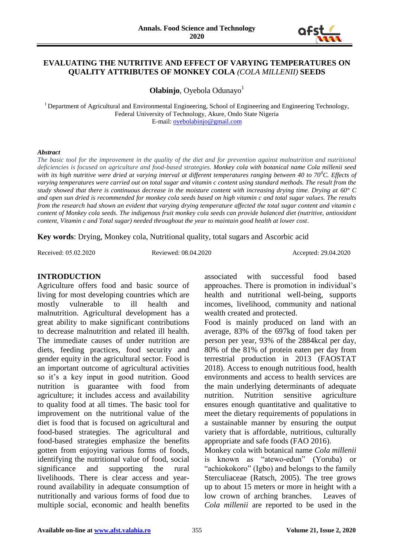

### **EVALUATING THE NUTRITIVE AND EFFECT OF VARYING TEMPERATURES ON QUALITY ATTRIBUTES OF MONKEY COLA** *(COLA MILLENII)* **SEEDS**

**Olabinjo**, Oyebola Odunayo<sup>1</sup>

<sup>1</sup> Department of Agricultural and Environmental Engineering, School of Engineering and Engineering Technology, Federal University of Technology, Akure, Ondo State Nigeria E-mail: [oyebolabinjo@gmail.com](mailto:oyebolabinjo@gmail.com)

#### *Abstract*

*The basic tool for the improvement in the quality of the diet and for prevention against malnutrition and nutritional deficiencies is focused on agriculture and food-based strategies. Monkey cola with botanical name Cola millenii seed with its high nutritive were dried at varying interval at different temperatures ranging between 40 to 70<sup>0</sup>C. Effects of varying temperatures were carried out on total sugar and vitamin c content using standard methods. The result from the study showed that there is continuous decrease in the moisture content with increasing drying time. Drying at 60° C and open sun dried is recommended for monkey cola seeds based on high vitamin c and total sugar values. The results from the research had shown an evident that varying drying temperature affected the total sugar content and vitamin c content of Monkey cola seeds. The indigenous fruit monkey cola seeds can provide balanced diet (nutritive, antioxidant content, Vitamin c and Total sugar) needed throughout the year to maintain good health at lower cost.*

**Key words**: Drying, Monkey cola, Nutritional quality, total sugars and Ascorbic acid

Received: 05.02.2020 Reviewed: 08.04.2020 Accepted: 29.04.2020

## **INTRODUCTION**

Agriculture offers food and basic source of living for most developing countries which are mostly vulnerable to ill health and malnutrition. Agricultural development has a great ability to make significant contributions to decrease malnutrition and related ill health. The immediate causes of under nutrition are diets, feeding practices, food security and gender equity in the agricultural sector. Food is an important outcome of agricultural activities so it's a key input in good nutrition. Good nutrition is guarantee with food from agriculture; it includes access and availability to quality food at all times. The basic tool for improvement on the nutritional value of the diet is food that is focused on agricultural and food-based strategies. The agricultural and food-based strategies emphasize the benefits gotten from enjoying various forms of foods, identifying the nutritional value of food, social significance and supporting the rural livelihoods. There is clear access and yearround availability in adequate consumption of nutritionally and various forms of food due to multiple social, economic and health benefits

associated with successful food based approaches. There is promotion in individual's health and nutritional well-being, supports incomes, livelihood, community and national wealth created and protected.

Food is mainly produced on land with an average, 83% of the 697kg of food taken per person per year, 93% of the 2884kcal per day, 80% of the 81% of protein eaten per day from terrestrial production in 2013 (FAOSTAT 2018). Access to enough nutritious food, health environments and access to health services are the main underlying determinants of adequate nutrition. Nutrition sensitive agriculture ensures enough quantitative and qualitative to meet the dietary requirements of populations in a sustainable manner by ensuring the output variety that is affordable, nutritious, culturally appropriate and safe foods (FAO 2016).

Monkey cola with botanical name *Cola millenii* is known as "atewo-edun" (Yoruba) or "achiokokoro" (Igbo) and belongs to the family Sterculiaceae (Ratsch, 2005). The tree grows up to about 15 meters or more in height with a low crown of arching branches. Leaves of *Cola millenii* are reported to be used in the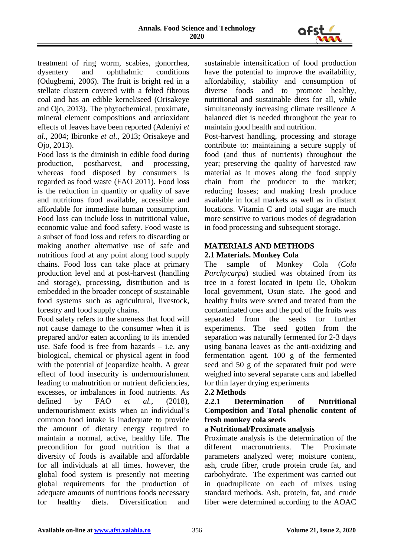

treatment of ring worm, scabies, gonorrhea, dysentery and ophthalmic conditions (Odugbemi, 2006). The fruit is bright red in a stellate clustern covered with a felted fibrous coal and has an edible kernel/seed (Orisakeye and Ojo, 2013). The phytochemical, proximate, mineral element compositions and antioxidant effects of leaves have been reported (Adeniyi *et al.*, 2004; Ibironke *et al.*, 2013; Orisakeye and Ojo, 2013).

Food loss is the diminish in edible food during production, postharvest, and processing, whereas food disposed by consumers is regarded as food waste (FAO 2011). Food loss is the reduction in quantity or quality of save and nutritious food available, accessible and affordable for immediate human consumption. Food loss can include loss in nutritional value, economic value and food safety. Food waste is a subset of food loss and refers to discarding or making another alternative use of safe and nutritious food at any point along food supply chains. Food loss can take place at primary production level and at post-harvest (handling and storage), processing, distribution and is embedded in the broader concept of sustainable food systems such as agricultural, livestock, forestry and food supply chains.

Food safety refers to the sureness that food will not cause damage to the consumer when it is prepared and/or eaten according to its intended use. Safe food is free from hazards  $-$  i.e. any biological, chemical or physical agent in food with the potential of jeopardize health. A great effect of food insecurity is undernourishment leading to malnutrition or nutrient deficiencies, excesses, or imbalances in food nutrients. As defined by FAO *et al.*, (2018), undernourishment exists when an individual's common food intake is inadequate to provide the amount of dietary energy required to maintain a normal, active, healthy life. The precondition for good nutrition is that a diversity of foods is available and affordable for all individuals at all times. however, the global food system is presently not meeting global requirements for the production of adequate amounts of nutritious foods necessary for healthy diets. Diversification and

sustainable intensification of food production have the potential to improve the availability, affordability, stability and consumption of diverse foods and to promote healthy, nutritional and sustainable diets for all, while simultaneously increasing climate resilience A balanced diet is needed throughout the year to maintain good health and nutrition.

Post-harvest handling, processing and storage contribute to: maintaining a secure supply of food (and thus of nutrients) throughout the year; preserving the quality of harvested raw material as it moves along the food supply chain from the producer to the market; reducing losses; and making fresh produce available in local markets as well as in distant locations. Vitamin C and total sugar are much more sensitive to various modes of degradation in food processing and subsequent storage.

# **MATERIALS AND METHODS**

## **2.1 Materials. Monkey Cola**

The sample of Monkey Cola (*Cola Parchycarpa*) studied was obtained from its tree in a forest located in Ipetu Ile, Obokun local government, Osun state. The good and healthy fruits were sorted and treated from the contaminated ones and the pod of the fruits was separated from the seeds for further experiments. The seed gotten from the separation was naturally fermented for 2-3 days using banana leaves as the anti-oxidizing and fermentation agent. 100 g of the fermented seed and 50 g of the separated fruit pod were weighed into several separate cans and labelled for thin layer drying experiments

# **2.2 Methods**

**2.2.1 Determination of Nutritional Composition and Total phenolic content of fresh monkey cola seeds** 

### **a Nutritional/Proximate analysis**

Proximate analysis is the determination of the different macronutrients. The Proximate parameters analyzed were; moisture content, ash, crude fiber, crude protein crude fat, and carbohydrate. The experiment was carried out in quadruplicate on each of mixes using standard methods. Ash, protein, fat, and crude fiber were determined according to the AOAC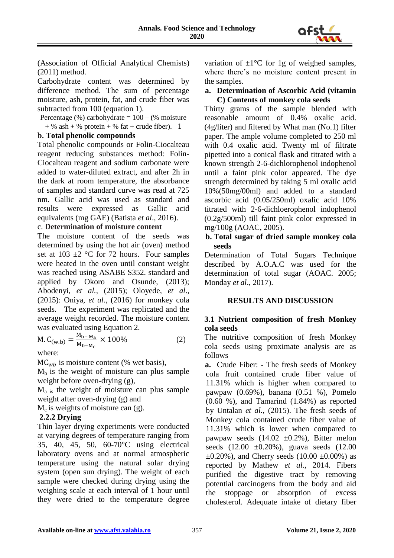

(Association of Official Analytical Chemists) (2011) method.

Carbohydrate content was determined by difference method. The sum of percentage moisture, ash, protein, fat, and crude fiber was subtracted from 100 (equation 1).

Percentage  $%$ ) carbohydrate = 100 –  $%$  moisture

 $+$  % ash  $+$  % protein  $+$  % fat  $+$  crude fiber). 1

# **b. Total phenolic compounds**

Total phenolic compounds or Folin-Ciocalteau reagent reducing substances method: Folin-Ciocalteau reagent and sodium carbonate were added to water-diluted extract, and after 2h in the dark at room temperature, the absorbance of samples and standard curve was read at 725 nm. Gallic acid was used as standard and results were expressed as Gallic acid equivalents (mg GAE) (Batista *et al*., 2016).

## c. **Determination of moisture content**

The moisture content of the seeds was determined by using the hot air (oven) method set at  $103 \pm 2$  °C for 72 hours. Four samples were heated in the oven until constant weight was reached using ASABE S352. standard and applied by Okoro and Osunde, (2013); Abodenyi, *et al.,* (2015); Oloyede, *et al*., (2015): Oniya, *et al*., (2016) for monkey cola seeds. The experiment was replicated and the average weight recorded. The moisture content was evaluated using Equation 2.

$$
M.C_{(w.b)} = \frac{M_{b-M_a}}{M_{b-M_c}} \times 100\%
$$
 (2)

where:

 $MC<sub>wb</sub>$  is moisture content (% wet basis),

 $M_b$  is the weight of moisture can plus sample weight before oven-drying (g),

 $M<sub>a</sub>$ <sub>is</sub> the weight of moisture can plus sample weight after oven-drying (g) and

 $M_c$  is weights of moisture can (g).

# **2.2.2 Drying**

Thin layer drying experiments were conducted at varying degrees of temperature ranging from 35, 40, 45, 50, 60-70°C using electrical laboratory ovens and at normal atmospheric temperature using the natural solar drying system (open sun drying). The weight of each sample were checked during drying using the weighing scale at each interval of 1 hour until they were dried to the temperature degree variation of  $\pm 1$ °C for 1g of weighed samples, where there's no moisture content present in the samples.

#### **a. Determination of Ascorbic Acid (vitamin C) Contents of monkey cola seeds**

Thirty grams of the sample blended with reasonable amount of 0.4% oxalic acid. (4g/liter) and filtered by What man (No.1) filter paper. The ample volume completed to 250 ml with 0.4 oxalic acid. Twenty ml of filtrate pipetted into a conical flask and titrated with a known strength 2-6-dichlorophenol indophenol until a faint pink color appeared. The dye strength determined by taking 5 ml oxalic acid 10%(50mg/00ml) and added to a standard ascorbic acid (0.05/250ml) oxalic acid 10% titrated with 2-6-dichloerophenol indophenol (0.2g/500ml) till faint pink color expressed in mg/100g (AOAC, 2005).

### **b. Total sugar of dried sample monkey cola seeds**

Determination of Total Sugars Technique described by A.O.A.C was used for the determination of total sugar (AOAC. 2005; Monday *et al*., 2017).

# **RESULTS AND DISCUSSION**

### **3.1 Nutrient composition of fresh Monkey cola seeds**

The nutritive composition of fresh Monkey cola seeds using proximate analysis are as follows

**a.** Crude Fiber: - The fresh seeds of Monkey cola fruit contained crude fiber value of 11.31% which is higher when compared to pawpaw (0.69%), banana (0.51 %), Pomelo (0.60 %), and Tamarind (1.84%) as reported by Untalan *et al.,* (2015). The fresh seeds of Monkey cola contained crude fiber value of 11.31% which is lower when compared to pawpaw seeds  $(14.02 \pm 0.2\%)$ , Bitter melon seeds  $(12.00 \pm 0.20\%)$ , guava seeds  $(12.00 \pm 0.20\%)$  $\pm 0.20\%$ ), and Cherry seeds (10.00  $\pm 0.00\%$ ) as reported by Mathew *et al.,* 2014. Fibers purified the digestive tract by removing potential carcinogens from the body and aid the stoppage or absorption of excess cholesterol. Adequate intake of dietary fiber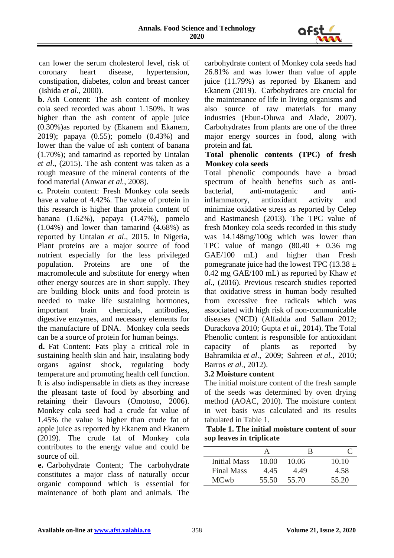

can lower the serum cholesterol level, risk of coronary heart disease, hypertension, constipation, diabetes, colon and breast cancer (Ishida *et al.*, 2000).

**b.** Ash Content: The ash content of monkey cola seed recorded was about 1.150%. It was higher than the ash content of apple juice (0.30%)as reported by (Ekanem and Ekanem, 2019); papaya (0.55); pomelo (0.43%) and lower than the value of ash content of banana (1.70%); and tamarind as reported by Untalan *et al*., (2015). The ash content was taken as a rough measure of the mineral contents of the food material (Anwar *et al.*, 2008).

**c.** Protein content: Fresh Monkey cola seeds have a value of 4.42%. The value of protein in this research is higher than protein content of banana (1.62%), papaya (1.47%), pomelo (1.04%) and lower than tamarind (4.68%) as reported by Untalan *et al*., 2015. In Nigeria, Plant proteins are a major source of food nutrient especially for the less privileged population. Proteins are one of the macromolecule and substitute for energy when other energy sources are in short supply. They are building block units and food protein is needed to make life sustaining hormones, important brain chemicals, antibodies, digestive enzymes, and necessary elements for the manufacture of DNA. Monkey cola seeds can be a source of protein for human beings.

**d.** Fat Content: Fats play a critical role in sustaining health skin and hair, insulating body organs against shock, regulating body temperature and promoting health cell function. It is also indispensable in diets as they increase the pleasant taste of food by absorbing and retaining their flavours (Omotoso, 2006). Monkey cola seed had a crude fat value of 1.45% the value is higher than crude fat of apple juice as reported by Ekanem and Ekanem (2019). The crude fat of Monkey cola contributes to the energy value and could be source of oil.

**e.** Carbohydrate Content; The carbohydrate constitutes a major class of naturally occur organic compound which is essential for maintenance of both plant and animals. The

carbohydrate content of Monkey cola seeds had 26.81% and was lower than value of apple juice (11.79%) as reported by Ekanem and Ekanem (2019). Carbohydrates are crucial for the maintenance of life in living organisms and also source of raw materials for many industries (Ebun-Oluwa and Alade, 2007). Carbohydrates from plants are one of the three major energy sources in food, along with protein and fat.

## **Total phenolic contents (TPC) of fresh Monkey cola seeds**

Total phenolic compounds have a broad spectrum of health benefits such as antibacterial, anti-mutagenic and antiinflammatory, antioxidant activity and minimize oxidative stress as reported by Celep and Rastmanesh (2013). The TPC value of fresh Monkey cola seeds recorded in this study was 14.148mg/100g which was lower than TPC value of mango  $(80.40 \pm 0.36 \text{ mg})$ GAE/100 mL) and higher than Fresh pomegranate juice had the lowest TPC (13.38  $\pm$ 0.42 mg GAE/100 mL) as reported by Khaw *et al*., (2016). Previous research studies reported that oxidative stress in human body resulted from excessive free radicals which was associated with high risk of non-communicable diseases (NCD) (Alfadda and Sallam 2012; Durackova 2010; Gupta *et al.,* 2014). The Total Phenolic content is responsible for antioxidant capacity of plants as reported by Bahramikia *et al*., 2009; Sahreen *et al.,* 2010; Barros *et al.,* 2012).

# **3.2 Moisture content**

The initial moisture content of the fresh sample of the seeds was determined by oven drying method (AOAC, 2010). The moisture content in wet basis was calculated and its results tabulated in Table 1.

| Table 1. The initial moisture content of sour |  |
|-----------------------------------------------|--|
| sop leaves in triplicate                      |  |

| <b>Initial Mass</b> | 10.00 | 10.06 | 10.10 |
|---------------------|-------|-------|-------|
| <b>Final Mass</b>   | 4.45  | 4.49  | 4.58  |
| <b>MCwb</b>         | 55.50 | 55.70 | 55.20 |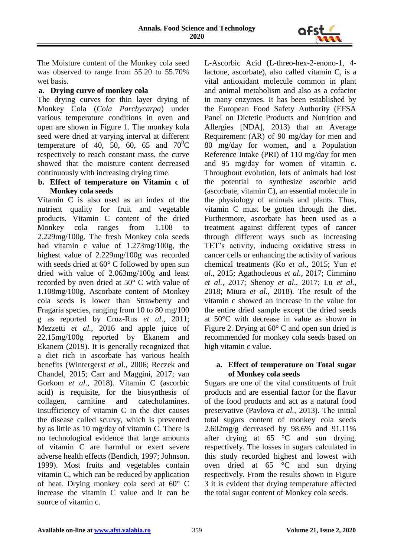

The Moisture content of the Monkey cola seed was observed to range from 55.20 to 55.70% wet basis.

## **a. Drying curve of monkey cola**

The drying curves for thin layer drying of Monkey Cola (*Cola Parchycarpa*) under various temperature conditions in oven and open are shown in Figure 1. The monkey kola seed were dried at varying interval at different temperature of 40, 50, 60, 65 and  $70^0C$ respectively to reach constant mass, the curve showed that the moisture content decreased continuously with increasing drying time.

### **b. Effect of temperature on Vitamin c of Monkey cola seeds**

Vitamin C is also used as an index of the nutrient quality for fruit and vegetable products. Vitamin C content of the dried Monkey cola ranges from 1.108 to 2.229mg/100g. The fresh Monkey cola seeds had vitamin c value of 1.273mg/100g, the highest value of 2.229mg/100g was recorded with seeds dried at 60° C followed by open sun dried with value of 2.063mg/100g and least recorded by oven dried at 50° C with value of 1.108mg/100g. Ascorbate content of Monkey cola seeds is lower than Strawberry and Fragaria species, ranging from 10 to 80 mg/100 g as reported by Cruz-Rus *et al*., 2011; Mezzetti *et al.,* 2016 and apple juice of 22.15mg/100g reported by Ekanem and Ekanem (2019). It is generally recognized that a diet rich in ascorbate has various health benefits (Wintergerst *et a*l., 2006; Reczek and Chandel, 2015; Carr and Maggini, 2017; van Gorkom *et al*., 2018). Vitamin C (ascorbic acid) is requisite, for the biosynthesis of collagen, carnitine and catecholamines. Insufficiency of vitamin C in the diet causes the disease called scurvy, which is prevented by as little as 10 mg/day of vitamin C. There is no technological evidence that large amounts of vitamin C are harmful or exert severe adverse health effects (Bendich, 1997; Johnson. 1999). Most fruits and vegetables contain vitamin C, which can be reduced by application of heat. Drying monkey cola seed at 60° C increase the vitamin C value and it can be source of vitamin c.

L-Ascorbic Acid (L-threo-hex-2-enono-1, 4 lactone, ascorbate), also called vitamin C, is a vital antioxidant molecule common in plant and animal metabolism and also as a cofactor in many enzymes. It has been established by the European Food Safety Authority (EFSA Panel on Dietetic Products and Nutrition and Allergies [NDA], 2013) that an Average Requirement (AR) of 90 mg/day for men and 80 mg/day for women, and a Population Reference Intake (PRI) of 110 mg/day for men and 95 mg/day for women of vitamin c. Throughout evolution, lots of animals had lost the potential to synthesize ascorbic acid (ascorbate, vitamin C), an essential molecule in the physiology of animals and plants. Thus, vitamin C must be gotten through the diet. Furthermore, ascorbate has been used as a treatment against different types of cancer through different ways such as increasing TET's activity, inducing oxidative stress in cancer cells or enhancing the activity of various chemical treatments (Ko *et al*., 2015; Yun *et al*., 2015; Agathocleous *et al.,* 2017; Cimmino *et al.,* 2017; Shenoy *et al*., 2017; Lu *et al.,* 2018; Miura *et al.,* 2018). The result of the vitamin c showed an increase in the value for the entire dried sample except the dried seeds at 50°C with decrease in value as shown in Figure 2. Drying at 60° C and open sun dried is recommended for monkey cola seeds based on high vitamin c value.

#### **a. Effect of temperature on Total sugar of Monkey cola seeds**

Sugars are one of the vital constituents of fruit products and are essential factor for the flavor of the food products and act as a natural food preservative (Pavlova *et al.,* 2013). The initial total sugars content of monkey cola seeds 2.602mg/g decreased by 98.6% and 91.11% after drying at 65 °C and sun drying, respectively. The losses in sugars calculated in this study recorded highest and lowest with oven dried at 65 °C and sun drying respectively. From the results shown in Figure 3 it is evident that drying temperature affected the total sugar content of Monkey cola seeds.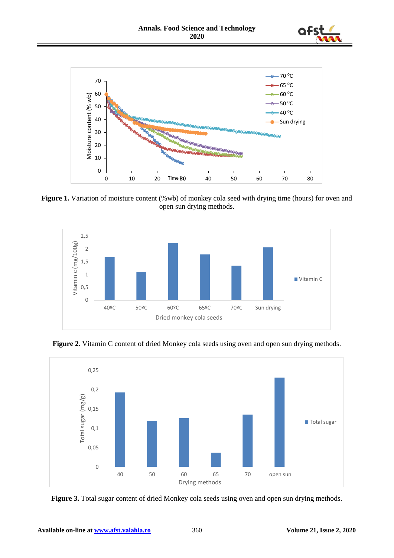



Figure 1. Variation of moisture content (%wb) of monkey cola seed with drying time (hours) for oven and open sun drying methods.



**Figure 2.** Vitamin C content of dried Monkey cola seeds using oven and open sun drying methods.



**Figure 3.** Total sugar content of dried Monkey cola seeds using oven and open sun drying methods.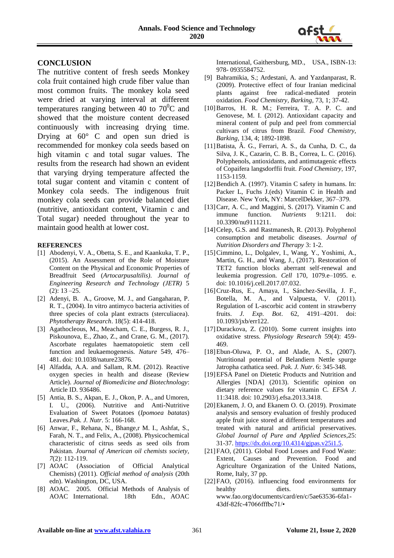

#### **CONCLUSION**

The nutritive content of fresh seeds Monkey cola fruit contained high crude fiber value than most common fruits. The monkey kola seed were dried at varying interval at different temperatures ranging between 40 to  $70^0C$  and showed that the moisture content decreased continuously with increasing drying time. Drying at  $60^{\circ}$  C and open sun dried is recommended for monkey cola seeds based on high vitamin c and total sugar values. The results from the research had shown an evident that varying drying temperature affected the total sugar content and vitamin c content of Monkey cola seeds. The indigenous fruit monkey cola seeds can provide balanced diet (nutritive, antioxidant content, Vitamin c and Total sugar) needed throughout the year to maintain good health at lower cost.

#### **REFERENCES**

- [1] Abodenyi, V. A., Obetta, S. E., and Kaankuka, T. P., (2015). An Assessment of the Role of Moisture Content on the Physical and Economic Properties of Breadfruit Seed (*Artocarpusaltilis)*. *Journal of Engineering Research and Technology (JETR)* 5  $(2): 13 - 25.$
- [2] Adenyi, B. A., Groove, M. J., and Gangaharan, P. R. T., (2004). In vitro antimyco bacteria activities of three species of cola plant extracts (sterculiacea). *Phytotherapy Research*. 18(5): 414-418.
- [3] Agathocleous, M., Meacham, C. E., Burgess, R. J., Piskounova, E., Zhao, Z., and Crane, G. M., (2017). Ascorbate regulates haematopoietic stem cell function and leukaemogenesis. *Nature* 549, 476– 481. doi: 10.1038/nature23876.
- [4] Alfadda, A.A. and Sallam, R.M. (2012). Reactive oxygen species in health and disease (Review Article). *Journal of Biomedicine and Biotechnology*: Article ID. 936486.
- [5] Antia, B. S., Akpan, E. J., Okon, P. A., and Umoren, I. U., (2006). Nutritive and Anti-Nutritive Evaluation of Sweet Potatoes (*Ipomoea batatas*) Leaves.*Pak. J. Nutr*. 5: 166-168.
- [6] Anwar, F., Rehana, N., Bhange,r M. I., Ashfat, S., Farah, N. T., and Felix, A., (2008). Physicochemical characteristic of citrus seeds as seed oils from Pakistan*. Journal of American oil chemists society, 7*(2): 112-119.
- [7] AOAC (Association of Official Analytical Chemists) (2011). *Official method of analysis* (20th edn). Washington, DC, USA.
- [8] AOAC. 2005. Official Methods of Analysis of AOAC International. 18th Edn., AOAC

International, Gaithersburg, MD., USA., ISBN-13: 978- 0935584752.

- [9] Bahramikia, S.; Ardestani, A. and Yazdanparast, R. (2009). Protective effect of four Iranian medicinal plants against free radical-mediated protein oxidation. *Food Chemistry, Barking*, 73, 1; 37-42.
- [10]Barros, H. R. M.; Ferreira, T. A. P. C. and Genovese, M. I. (2012). Antioxidant capacity and mineral content of pulp and peel from commercial cultivars of citrus from Brazil. *Food Chemistry, Barking,* 134, 4; 1892-1898.
- [11]Batista, Â. G., Ferrari, A. S., da Cunha, D. C., da Silva, J. K., Cazarin, C. B. B., Correa, L. C. (2016). Polyphenols, antioxidants, and antimutagenic effects of Copaifera langsdorffii fruit. *Food Chemistry*, 197, 1153-1159.
- [12] Bendich A. (1997). Vitamin C safety in humans. In: Packer L, Fuchs J.(eds) Vitamin C in Health and Disease. New York, NY: MarcelDekker, 367–379.
- [13]Carr, A. C., and Maggini, S. (2017). Vitamin C and immune function. *Nutrients* 9:1211. doi: 10.3390/nu9111211.
- [14] Celep, G.S. and Rastmanesh, R. (2013). Polyphenol consumption and metabolic diseases. *Journal of Nutrition Disorders and Therapy* 3: 1-2.
- [15]Cimmino, L., Dolgalev, I., Wang, Y., Yoshimi, A., Martin, G. H., and Wang, J., (2017). Restoration of TET2 function blocks aberrant self-renewal and leukemia progression. *Cell* 170, 1079.e–1095. e. doi: 10.1016/j.cell.2017.07.032.
- [16]Cruz-Rus, E., Amaya, I., Sánchez-Sevilla, J. F., Botella, M. A., and Valpuesta, V. (2011). Regulation of L-ascorbic acid content in strawberry fruits. *J. Exp. Bot*. 62, 4191–4201. doi: 10.1093/jxb/err122.
- [17]Durackova, Z. (2010). Some current insights into oxidative stress. *Physiology Research* 59(4): 459- 469.
- [18]Ebun-Oluwa, P. O., and Alade, A. S., (2007). Nutritional potential of Belandiern Nettle spurge Jatropha cathatica seed. *Pak. J. Nutr*. 6: 345-348.
- [19]EFSA Panel on Dietetic Products and Nutrition and Allergies [NDA] (2013). Scientific opinion on dietary reference values for vitamin C*. EFSA J*. 11:3418. doi: 10.2903/j.efsa.2013.3418.
- [20]Ekanem, J. O, and Ekanem O. O. (2019). Proximate analysis and sensory evaluation of freshly produced apple fruit juice stored at different temperatures and treated with natural and artificial preservatives. *Global Journal of Pure and Applied Sciences*,25: 31-37. [https://dx.doi.org/10.4314/gjpas.v25i1.5.](https://dx.doi.org/10.4314/gjpas.v25i1.5)
- [21]FAO, (2011). Global Food Losses and Food Waste: Extent, Causes and Prevention. Food and Agriculture Organization of the United Nations, Rome, Italy, 37 pp.
- [22]FAO, (2016). influencing food environments for healthy diets. Summary www.fao.org/documents/card/en/c/5ae63536-6fa1- 43df-82fc-47066fffbc71/•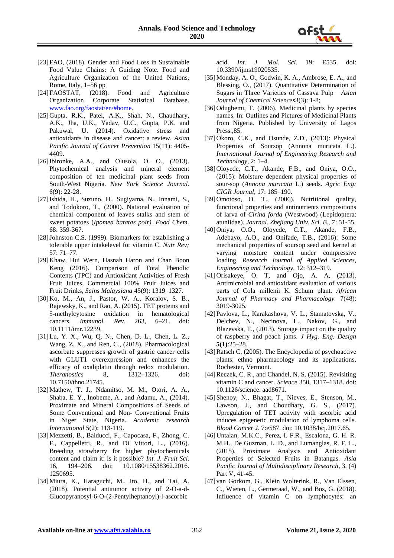

- [23]FAO, (2018). Gender and Food Loss in Sustainable Food Value Chains: A Guiding Note. Food and Agriculture Organization of the United Nations, Rome, Italy, 1–56 pp
- [24]FAOSTAT, (2018). Food and Agriculture Organization Corporate Statistical Database. [www.fao.org/faostat/en/#home.](http://www.fao.org/faostat/en/#home)
- [25]Gupta, R.K., Patel, A.K., Shah, N., Chaudhary, A.K., Jha, U.K., Yadav, U.C., Gupta, P.K. and Pakuwal, U. (2014). Oxidative stress and antioxidants in disease and cancer: a review. *Asian Pacific Journal of Cancer Prevention* 15(11): 4405- 4409.
- [26]Ibironke, A.A., and Olusola, O. O., (2013). Phytochemical analysis and mineral element composition of ten medicinal plant seeds from South-West Nigeria. *New York Science Journal.* 6(9): 22-28.
- [27]Ishida, H., Suzuno, H., Sugiyama, N., Innami, S., and Todokoro, T., (2000). National evaluation of chemical component of leaves stalks and stem of sweet potatoes (*Ipomea batatas poir). Food Chem.*  68: 359-367.
- [28] Johnston C.S. (1999). Biomarkers for establishing a tolerable upper intakelevel for vitamin C. *Nutr Rev;* 57: 71–77.
- [29]Khaw, Hui Wern, Hasnah Haron and Chan Boon Keng (2016). Comparison of Total Phenolic Contents (TPC) and Antioxidant Activities of Fresh Fruit Juices, Commercial 100% Fruit Juices and Fruit Drinks, *Sains Malaysiana* 45(9): 1319–1327.
- [30]Ko, M., An, J., Pastor, W. A., Koralov, S. B., Rajewsky, K., and Rao, A. (2015). TET proteins and 5-methylcytosine oxidation in hematological cancers. *Immunol. Rev*. 263, 6–21. doi: 10.1111/imr.12239.
- [31]Lu, Y. X., Wu, Q. N., Chen, D. L., Chen, L. Z., Wang, Z. X., and Ren, C., (2018). Pharmacological ascorbate suppresses growth of gastric cancer cells with GLUT1 overexpression and enhances the efficacy of oxaliplatin through redox modulation.<br> *Theranostics* 8. 1312–1326. doi: *Theranostics* 8, 1312–1326. doi: 10.7150/thno.21745.
- [32]Mathew, T. J., Ndamitso, M. M., Otori, A. A., Shaba, E. Y., Inobeme, A., and Adamu, A., (2014). Proximate and Mineral Compositions of Seeds of Some Conventional and Non- Conventional Fruits in Niger State, Nigeria. *Academic research International* 5(2): 113-119.
- [33]Mezzetti, B., Balducci, F., Capocasa, F., Zhong, C. F., Cappelletti, R., and Di Vittori, L., (2016). Breeding strawberry for higher phytochemicals content and claim it: is it possible? *Int. J. Fruit Sci.* 16, 194–206. doi: 10.1080/15538362.2016. 1250695.
- [34]Miura, K., Haraguchi, M., Ito, H., and Tai, A. (2018). Potential antitumor activity of 2-O-a-d-Glucopyranosyl-6-O-(2-Pentylheptanoyl)-l-ascorbic

acid. *Int. J. Mol. Sci.* 19: E535. doi: 10.3390/ijms19020535.

- [35]Monday, A. O., Godwin, K. A., Ambrose, E. A., and Blessing, O., (2017). Quantitative Determination of Sugars in Three Varieties of Cassava Pulp *Asian Journal of Chemical Sciences*3(3): 1-8;
- [36]Odugbemi, T. (2006). Medicinal plants by species names. In: Outlines and Pictures of Medicinal Plants from Nigeria. Published by University of Lagos Press.,85.
- [37]Okoro, C.K., and Osunde, Z.D., (2013): Physical Properties of Soursop (Annona muricata L.). *International Journal of Engineering Research and Technology*, 2: 1–4.
- [38]Oloyede, C.T., Akande, F.B., and Oniya, O.O., (2015): Moisture dependent physical properties of sour-sop (*Annona muricata* L.) seeds. *Agric Eng: CIGR Journal,* 17: 185–190.
- [39]Omotoso, O. T., (2006). Nutritional quality, functional properties and antinutrients compositions of larva of *Cirina forda* (Westwood) (Lepidoptera: atuniidae). *Journal. Zhejiang Univ. Sci. B., 7*: 51-55.
- [40]Oniya, O.O., Oloyede, C.T., Akande, F.B., Adebayo, A.O., and Onifade, T.B., (2016): Some mechanical properties of soursop seed and kernel at varying moisture content under compressive loading. *Research Journal of Applied Sciences, Engineering and Technology,* 12: 312–319.
- [41]Orisakeye, O. T, and Ojo, A. A, (2013). Antimicrobial and antioxidant evaluation of various parts of Cola millenii K. Schum plant. *African Journal of Pharmacy and Pharmacology.* 7(48): 3019-3025.
- [42]Pavlova, L., Karakashova, V. L., Stamatovska, V., Delchev, N., Necinova, L., Nakov, G., and Blazevska, T., (2013). Storage impact on the quality of raspberry and peach jams*. J Hyg. Eng. Design*  **5(1)**:25–28.
- [43] Ratsch C, (2005). The Encyclopedia of psychoactive plants: ethno pharmacology and its applications, Rochester, Vermont.
- [44] Reczek, C. R., and Chandel, N. S. (2015). Revisiting vitamin C and cancer. *Science* 350, 1317–1318. doi: 10.1126/science. aad8671.
- [45]Shenoy, N., Bhagat, T., Nieves, E., Stenson, M., Lawson, J., and Choudhary, G. S., (2017). Upregulation of TET activity with ascorbic acid induces epigenetic modulation of lymphoma cells. *Blood Cancer J*. 7:e587. doi: 10.1038/bcj.2017.65.
- [46]Untalan, M.K.C., Perez, I. F.R., Escalona, G. H. R. M.H., De Guzman, L. D., and Lumanglas, R. F. L., (2015). Proximate Analysis and Antioxidant Properties of Selected Fruits in Batangas. *Asia Pacific Journal of Multidisciplinary Research*, 3, (4) Part V, 41-45.
- [47] van Gorkom, G., Klein Wolterink, R., Van Elssen, C., Wieten, L., Germeraad, W., and Bos, G. (2018). Influence of vitamin C on lymphocytes: an